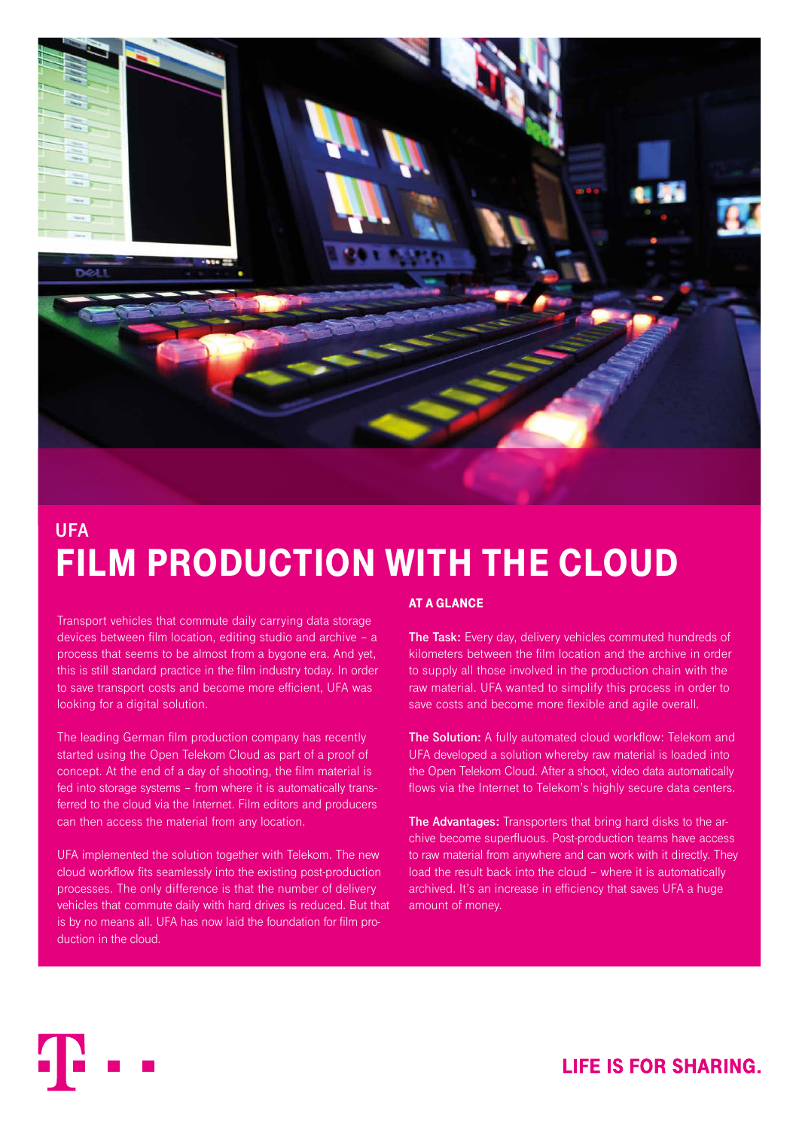

# **UFA**  FILM PRODUCTION WITH THE CLOUD

Transport vehicles that commute daily carrying data storage devices between film location, editing studio and archive – a process that seems to be almost from a bygone era. And yet, this is still standard practice in the film industry today. In order to save transport costs and become more efficient, UFA was looking for a digital solution.

The leading German film production company has recently started using the Open Telekom Cloud as part of a proof of concept. At the end of a day of shooting, the film material is fed into storage systems – from where it is automatically transferred to the cloud via the Internet. Film editors and producers can then access the material from any location.

UFA implemented the solution together with Telekom. The new cloud workflow fits seamlessly into the existing post-production processes. The only difference is that the number of delivery vehicles that commute daily with hard drives is reduced. But that is by no means all. UFA has now laid the foundation for film production in the cloud.

#### AT A GLANCE

**The Task:** Every day, delivery vehicles commuted hundreds of kilometers between the film location and the archive in order to supply all those involved in the production chain with the raw material. UFA wanted to simplify this process in order to save costs and become more flexible and agile overall.

**The Solution:** A fully automated cloud workflow: Telekom and UFA developed a solution whereby raw material is loaded into the Open Telekom Cloud. After a shoot, video data automatically flows via the Internet to Telekom's highly secure data centers.

**The Advantages:** Transporters that bring hard disks to the archive become superfluous. Post-production teams have access to raw material from anywhere and can work with it directly. They load the result back into the cloud – where it is automatically archived. It's an increase in efficiency that saves UFA a huge amount of money.

# **LIFE IS FOR SHARING.**